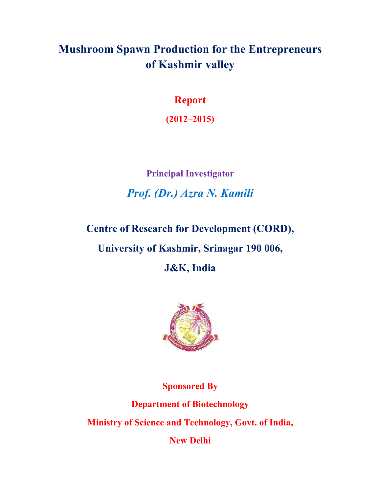# **Mushroom Spawn Production for the Entrepreneurs of Kashmir valley**

**Report**

**(2012–2015)** 

**Principal Investigator** *Prof. (Dr.) Azra N. Kamili*

**Centre of Research for Development (CORD),** 

**University of Kashmir, Srinagar 190 006,** 

**J&K, India** 



**Sponsored By** 

**Department of Biotechnology** 

**Ministry of Science and Technology, Govt. of India,**

**New Delhi**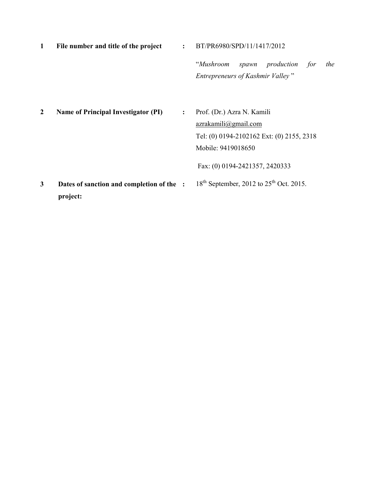| 1            | File number and title of the project                  | $\ddot{\cdot}$ | BT/PR6980/SPD/11/1417/2012                                                                                            |
|--------------|-------------------------------------------------------|----------------|-----------------------------------------------------------------------------------------------------------------------|
|              |                                                       |                | "Mushroom<br>spawn production<br>for<br>the<br>Entrepreneurs of Kashmir Valley"                                       |
| $\mathbf{2}$ | <b>Name of Principal Investigator (PI)</b>            | $\ddot{\cdot}$ | Prof. (Dr.) Azra N. Kamili<br>azrakamili@gmail.com<br>Tel: (0) 0194-2102162 Ext: (0) 2155, 2318<br>Mobile: 9419018650 |
|              |                                                       |                | Fax: (0) 0194-2421357, 2420333                                                                                        |
| 3            | Dates of sanction and completion of the :<br>project: |                | $18th$ September, 2012 to $25th$ Oct. 2015.                                                                           |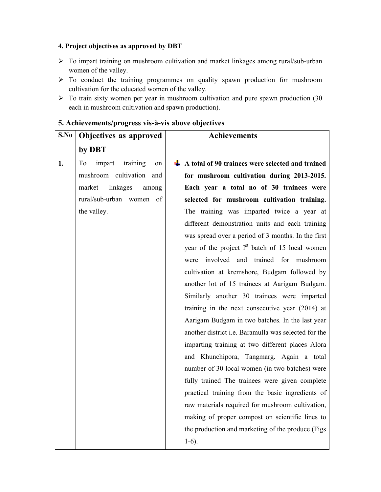## **4. Project objectives as approved by DBT**

- To impart training on mushroom cultivation and market linkages among rural/sub-urban women of the valley.
- $\triangleright$  To conduct the training programmes on quality spawn production for mushroom cultivation for the educated women of the valley.
- $\triangleright$  To train sixty women per year in mushroom cultivation and pure spawn production (30) each in mushroom cultivation and spawn production).

| S.No | Objectives as approved         | <b>Achievements</b>                                                       |
|------|--------------------------------|---------------------------------------------------------------------------|
|      | by DBT                         |                                                                           |
| 1.   | training<br>impart<br>To<br>on | $\overline{\phantom{a}}$ A total of 90 trainees were selected and trained |
|      | mushroom cultivation<br>and    | for mushroom cultivation during 2013-2015.                                |
|      | linkages<br>market<br>among    | Each year a total no of 30 trainees were                                  |
|      | rural/sub-urban<br>women<br>of | selected for mushroom cultivation training.                               |
|      | the valley.                    | The training was imparted twice a year at                                 |
|      |                                | different demonstration units and each training                           |
|      |                                | was spread over a period of 3 months. In the first                        |
|      |                                | year of the project I <sup>st</sup> batch of 15 local women               |
|      |                                | involved and trained for mushroom<br>were                                 |
|      |                                | cultivation at kremshore, Budgam followed by                              |
|      |                                | another lot of 15 trainees at Aarigam Budgam.                             |
|      |                                | Similarly another 30 trainees were imparted                               |
|      |                                | training in the next consecutive year $(2014)$ at                         |
|      |                                | Aarigam Budgam in two batches. In the last year                           |
|      |                                | another district i.e. Baramulla was selected for the                      |
|      |                                | imparting training at two different places Alora                          |
|      |                                | and Khunchipora, Tangmarg. Again a total                                  |
|      |                                | number of 30 local women (in two batches) were                            |
|      |                                | fully trained The trainees were given complete                            |
|      |                                | practical training from the basic ingredients of                          |
|      |                                | raw materials required for mushroom cultivation,                          |
|      |                                | making of proper compost on scientific lines to                           |
|      |                                | the production and marketing of the produce (Figs)                        |
|      |                                | $1-6$ ).                                                                  |
|      |                                |                                                                           |

## **5. Achievements/progress vis-à-vis above objectives**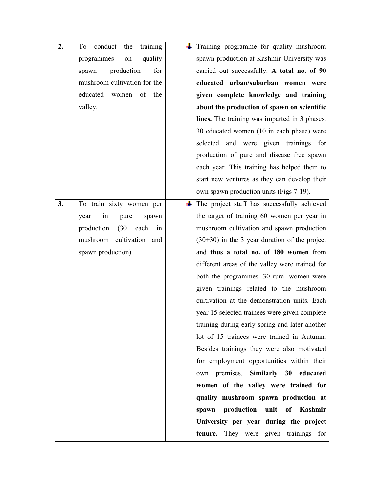| 2. | training<br>conduct<br>the<br>To | Training programme for quality mushroom         |  |
|----|----------------------------------|-------------------------------------------------|--|
|    | quality<br>programmes<br>on      | spawn production at Kashmir University was      |  |
|    | production<br>for<br>spawn       | carried out successfully. A total no. of 90     |  |
|    | mushroom cultivation for the     | educated urban/suburban women were              |  |
|    | educated<br>of<br>the<br>women   | given complete knowledge and training           |  |
|    | valley.                          | about the production of spawn on scientific     |  |
|    |                                  | lines. The training was imparted in 3 phases.   |  |
|    |                                  | 30 educated women (10 in each phase) were       |  |
|    |                                  | selected and were given trainings for           |  |
|    |                                  | production of pure and disease free spawn       |  |
|    |                                  | each year. This training has helped them to     |  |
|    |                                  | start new ventures as they can develop their    |  |
|    |                                  | own spawn production units (Figs 7-19).         |  |
| 3. | To train sixty women per         | The project staff has successfully achieved     |  |
|    | in<br>year<br>pure<br>spawn      | the target of training 60 women per year in     |  |
|    | production<br>(30)<br>each<br>in | mushroom cultivation and spawn production       |  |
|    | mushroom cultivation and         | $(30+30)$ in the 3 year duration of the project |  |
|    | spawn production).               | and thus a total no. of 180 women from          |  |
|    |                                  | different areas of the valley were trained for  |  |
|    |                                  | both the programmes. 30 rural women were        |  |
|    |                                  | given trainings related to the mushroom         |  |
|    |                                  | cultivation at the demonstration units. Each    |  |
|    |                                  | year 15 selected trainees were given complete   |  |
|    |                                  | training during early spring and later another  |  |
|    |                                  | lot of 15 trainees were trained in Autumn.      |  |
|    |                                  | Besides trainings they were also motivated      |  |
|    |                                  | for employment opportunities within their       |  |
|    |                                  | own premises. Similarly 30 educated             |  |
|    |                                  | women of the valley were trained for            |  |
|    |                                  | quality mushroom spawn production at            |  |
|    |                                  | production<br>unit of Kashmir<br>spawn          |  |
|    |                                  | University per year during the project          |  |
|    |                                  | tenure. They were given trainings for           |  |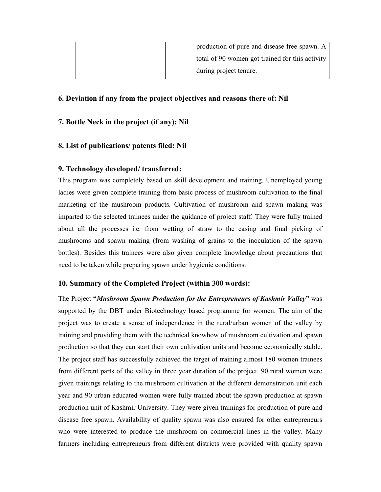| production of pure and disease free spawn. A    |  |
|-------------------------------------------------|--|
| total of 90 women got trained for this activity |  |
| during project tenure.                          |  |

### **6. Deviation if any from the project objectives and reasons there of: Nil**

#### **7. Bottle Neck in the project (if any): Nil**

#### **8. List of publications/ patents filed: Nil**

#### **9. Technology developed/ transferred:**

This program was completely based on skill development and training. Unemployed young ladies were given complete training from basic process of mushroom cultivation to the final marketing of the mushroom products. Cultivation of mushroom and spawn making was imparted to the selected trainees under the guidance of project staff. They were fully trained about all the processes i.e. from wetting of straw to the casing and final picking of mushrooms and spawn making (from washing of grains to the inoculation of the spawn bottles). Besides this trainees were also given complete knowledge about precautions that need to be taken while preparing spawn under hygienic conditions.

#### **10. Summary of the Completed Project (within 300 words):**

The Project **"***Mushroom Spawn Production for the Entrepreneurs of Kashmir Valley***"** was supported by the DBT under Biotechnology based programme for women. The aim of the project was to create a sense of independence in the rural/urban women of the valley by training and providing them with the technical knowhow of mushroom cultivation and spawn production so that they can start their own cultivation units and become economically stable. The project staff has successfully achieved the target of training almost 180 women trainees from different parts of the valley in three year duration of the project. 90 rural women were given trainings relating to the mushroom cultivation at the different demonstration unit each year and 90 urban educated women were fully trained about the spawn production at spawn production unit of Kashmir University. They were given trainings for production of pure and disease free spawn. Availability of quality spawn was also ensured for other entrepreneurs who were interested to produce the mushroom on commercial lines in the valley. Many farmers including entrepreneurs from different districts were provided with quality spawn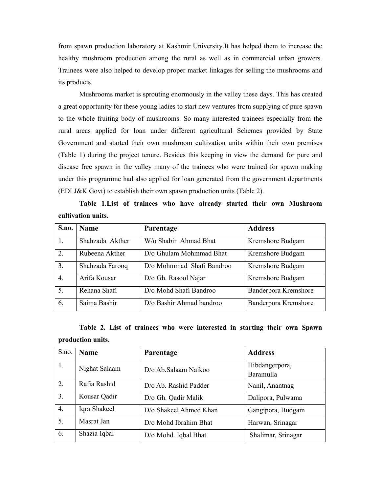from spawn production laboratory at Kashmir University.It has helped them to increase the healthy mushroom production among the rural as well as in commercial urban growers. Trainees were also helped to develop proper market linkages for selling the mushrooms and its products.

Mushrooms market is sprouting enormously in the valley these days. This has created a great opportunity for these young ladies to start new ventures from supplying of pure spawn to the whole fruiting body of mushrooms. So many interested trainees especially from the rural areas applied for loan under different agricultural Schemes provided by State Government and started their own mushroom cultivation units within their own premises (Table 1) during the project tenure. Besides this keeping in view the demand for pure and disease free spawn in the valley many of the trainees who were trained for spawn making under this programme had also applied for loan generated from the government departments (EDI J&K Govt) to establish their own spawn production units (Table 2).

**Table 1.List of trainees who have already started their own Mushroom cultivation units.** 

| S.no.            | <b>Name</b>     | Parentage                 | <b>Address</b>       |
|------------------|-----------------|---------------------------|----------------------|
|                  | Shahzada Akther | W/o Shabir Ahmad Bhat     | Kremshore Budgam     |
| 2.               | Rubeena Akther  | D/o Ghulam Mohmmad Bhat   | Kremshore Budgam     |
| $\overline{3}$ . | Shahzada Farooq | D/o Mohmmad Shafi Bandroo | Kremshore Budgam     |
| $\overline{4}$ . | Arifa Kousar    | D/o Gh. Rasool Najar      | Kremshore Budgam     |
| 5.               | Rehana Shafi    | D/o Mohd Shafi Bandroo    | Banderpora Kremshore |
| 6.               | Saima Bashir    | D/o Bashir Ahmad bandroo  | Banderpora Kremshore |

**Table 2. List of trainees who were interested in starting their own Spawn production units.**

| S.no.            | <b>Name</b>   | Parentage              | <b>Address</b>              |
|------------------|---------------|------------------------|-----------------------------|
| 1.               | Nighat Salaam | D/o Ab.Salaam Naikoo   | Hibdangerpora,<br>Baramulla |
|                  |               |                        |                             |
| $\overline{2}$ . | Rafia Rashid  | D/o Ab. Rashid Padder  | Nanil, Anantnag             |
| 3.               | Kousar Qadir  | D/o Gh. Qadir Malik    | Dalipora, Pulwama           |
| $\overline{4}$ . | Iqra Shakeel  | D/o Shakeel Ahmed Khan | Gangipora, Budgam           |
| 5.               | Masrat Jan    | D/o Mohd Ibrahim Bhat  | Harwan, Srinagar            |
| 6.               | Shazia Iqbal  | D/o Mohd. Iqbal Bhat   | Shalimar, Srinagar          |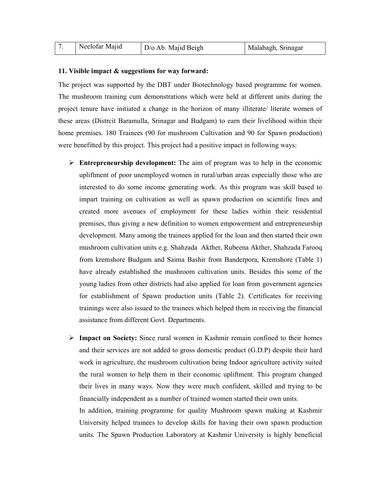|  | Neelofar Majid | D/o Ab. Majid Beigh | Malabagh, Srinagar |
|--|----------------|---------------------|--------------------|
|--|----------------|---------------------|--------------------|

#### **11. Visible impact & suggestions for way forward:**

The project was supported by the DBT under Biotechnology based programme for women. The mushroom training cum demonstrations which were held at different units during the project tenure have initiated a change in the horizon of many illiterate/ literate women of these areas (Distrcit Baramulla, Srinagar and Budgam) to earn their livelihood within their home premises. 180 Trainees (90 for mushroom Cultivation and 90 for Spawn production) were benefitted by this project. This project had a positive impact in following ways:

- **Entrepreneurship development:** The aim of program was to help in the economic upliftment of poor unemployed women in rural/urban areas especially those who are interested to do some income generating work. As this program was skill based to impart training on cultivation as well as spawn production on scientific lines and created more avenues of employment for these ladies within their residential premises, thus giving a new definition to women empowerment and entrepreneurship development. Many among the trainees applied for the loan and then started their own mushroom cultivation units e.g. Shahzada Akther, Rubeena Akther, Shahzada Farooq from kremshore Budgam and Saima Bashir from Banderpora, Kremshore (Table 1) have already established the mushroom cultivation units. Besides this some of the young ladies from other districts had also applied for loan from government agencies for establishment of Spawn production units (Table 2). Certificates for receiving trainings were also issued to the trainees which helped them in receiving the financial assistance from different Govt. Departments.
- **Impact on Society:** Since rural women in Kashmir remain confined to their homes and their services are not added to gross domestic product (G.D.P) despite their hard work in agriculture, the mushroom cultivation being Indoor agriculture activity suited the rural women to help them in their economic upliftment. This program changed their lives in many ways. Now they were much confident, skilled and trying to be financially independent as a number of trained women started their own units.

In addition, training programme for quality Mushroom spawn making at Kashmir University helped trainees to develop skills for having their own spawn production units. The Spawn Production Laboratory at Kashmir University is highly beneficial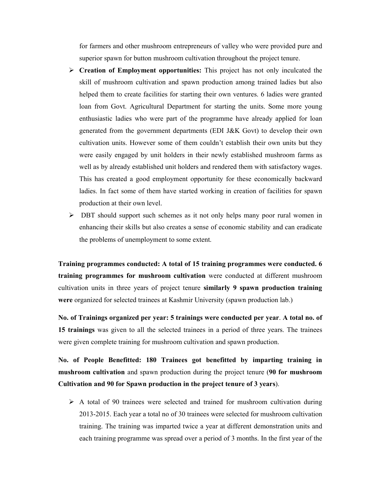for farmers and other mushroom entrepreneurs of valley who were provided pure and superior spawn for button mushroom cultivation throughout the project tenure.

- **Creation of Employment opportunities:** This project has not only inculcated the skill of mushroom cultivation and spawn production among trained ladies but also helped them to create facilities for starting their own ventures. 6 ladies were granted loan from Govt. Agricultural Department for starting the units. Some more young enthusiastic ladies who were part of the programme have already applied for loan generated from the government departments (EDI J&K Govt) to develop their own cultivation units. However some of them couldn't establish their own units but they were easily engaged by unit holders in their newly established mushroom farms as well as by already established unit holders and rendered them with satisfactory wages. This has created a good employment opportunity for these economically backward ladies. In fact some of them have started working in creation of facilities for spawn production at their own level.
- DBT should support such schemes as it not only helps many poor rural women in enhancing their skills but also creates a sense of economic stability and can eradicate the problems of unemployment to some extent.

**Training programmes conducted: A total of 15 training programmes were conducted. 6 training programmes for mushroom cultivation** were conducted at different mushroom cultivation units in three years of project tenure **similarly 9 spawn production training were** organized for selected trainees at Kashmir University (spawn production lab.)

**No. of Trainings organized per year: 5 trainings were conducted per year**. **A total no. of 15 trainings** was given to all the selected trainees in a period of three years. The trainees were given complete training for mushroom cultivation and spawn production.

**No. of People Benefitted: 180 Trainees got benefitted by imparting training in mushroom cultivation** and spawn production during the project tenure (**90 for mushroom Cultivation and 90 for Spawn production in the project tenure of 3 years**).

 $\triangleright$  A total of 90 trainees were selected and trained for mushroom cultivation during 2013-2015. Each year a total no of 30 trainees were selected for mushroom cultivation training. The training was imparted twice a year at different demonstration units and each training programme was spread over a period of 3 months. In the first year of the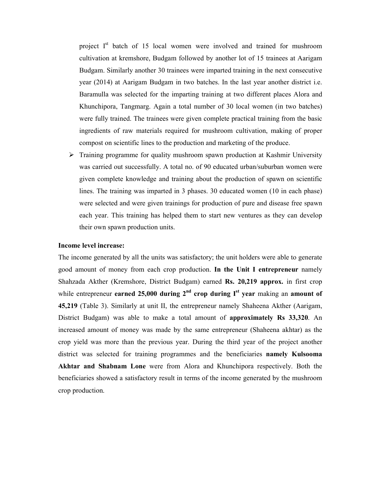project  $I<sup>st</sup>$  batch of 15 local women were involved and trained for mushroom cultivation at kremshore, Budgam followed by another lot of 15 trainees at Aarigam Budgam. Similarly another 30 trainees were imparted training in the next consecutive year (2014) at Aarigam Budgam in two batches. In the last year another district i.e. Baramulla was selected for the imparting training at two different places Alora and Khunchipora, Tangmarg. Again a total number of 30 local women (in two batches) were fully trained. The trainees were given complete practical training from the basic ingredients of raw materials required for mushroom cultivation, making of proper compost on scientific lines to the production and marketing of the produce.

 Training programme for quality mushroom spawn production at Kashmir University was carried out successfully. A total no. of 90 educated urban/suburban women were given complete knowledge and training about the production of spawn on scientific lines. The training was imparted in 3 phases. 30 educated women (10 in each phase) were selected and were given trainings for production of pure and disease free spawn each year. This training has helped them to start new ventures as they can develop their own spawn production units.

#### **Income level increase:**

The income generated by all the units was satisfactory; the unit holders were able to generate good amount of money from each crop production. **In the Unit I entrepreneur** namely Shahzada Akther (Kremshore, District Budgam) earned **Rs. 20,219 approx.** in first crop while entrepreneur **earned 25,000 during 2nd crop during Ist year** making an **amount of 45,219** (Table 3). Similarly at unit II, the entrepreneur namely Shaheena Akther (Aarigam, District Budgam) was able to make a total amount of **approximately Rs 33,320**. An increased amount of money was made by the same entrepreneur (Shaheena akhtar) as the crop yield was more than the previous year. During the third year of the project another district was selected for training programmes and the beneficiaries **namely Kulsooma Akhtar and Shabnam Lone** were from Alora and Khunchipora respectively. Both the beneficiaries showed a satisfactory result in terms of the income generated by the mushroom crop production.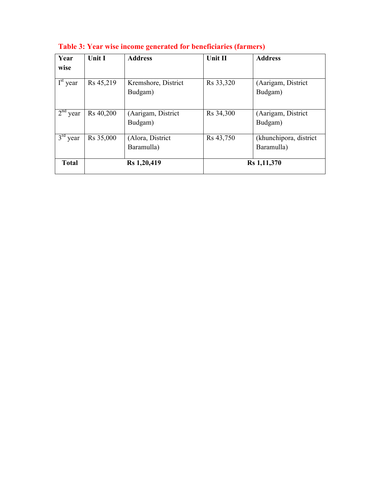| Year<br>wise                    | Unit I      | <b>Address</b>                 | Unit II     | <b>Address</b>                        |
|---------------------------------|-------------|--------------------------------|-------------|---------------------------------------|
| $\overline{I}^{\text{st}}$ year | Rs 45,219   | Kremshore, District<br>Budgam) | Rs 33,320   | (Aarigam, District<br>Budgam)         |
| 2 <sup>nd</sup><br>year         | Rs 40,200   | (Aarigam, District<br>Budgam)  | Rs 34,300   | (Aarigam, District<br>Budgam)         |
| $3rd$ year                      | Rs 35,000   | (Alora, District<br>Baramulla) | Rs 43,750   | (khunchipora, district)<br>Baramulla) |
| <b>Total</b>                    | Rs 1,20,419 |                                | Rs 1,11,370 |                                       |

**Table 3: Year wise income generated for beneficiaries (farmers)**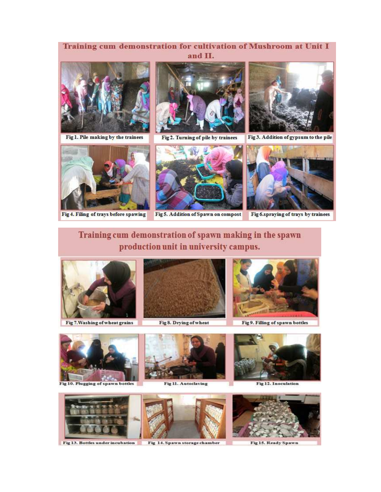# Training cum demonstration for cultivation of Mushroom at Unit I and II.



Fig 1. Pile making by the trainees



Fig 4. Filing of trays before spawing



Fig 2. Turning of pile by trainees



Fig 3. Addition of gypsum to the pile



Fig 6.spraying of trays by trainees

# Training cum demonstration of spawn making in the spawn production unit in university campus.



Fig 7. Washing of wheat grains



Fig 8. Drying of wheat



Fig 9. Filling of spawn bottles



Fig 10. Plugging of spawn bottles





Fig 12. Inoculation



Fig 15. Ready Spawn